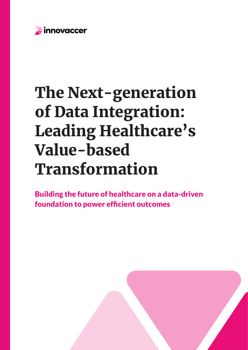

# The Next-generation of Data Integration: Leading Healthcare's Value-based Transformation

Building the future of healthcare on a data-driven foundation to power efficient outcomes

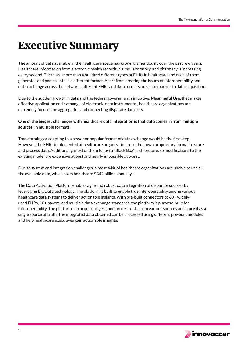### Executive Summary

The amount of data available in the healthcare space has grown tremendously over the past few years. Healthcare information from electronic health records, claims, laboratory, and pharmacy is increasing every second. There are more than a hundred different types of EHRs in healthcare and each of them generates and parses data in a different format. Apart from creating the issues of interoperability and data exchange across the network, different EHRs and data formats are also a barrier to data acquisition.

Due to the sudden growth in data and the federal government's initiative, **Meaningful Use**, that makes effective application and exchange of electronic data instrumental, healthcare organizations are extremely focused on aggregating and connecting disparate data sets.

#### **One of the biggest challenges with healthcare data integration is that data comes in from multiple sources, in multiple formats.**

Transforming or adapting to a newer or popular format of data exchange would be the first step. However, the EHRs implemented at healthcare organizations use their own proprietary format to store and process data. Additionally, most of them follow a "Black Box" architecture, so modifications to the existing model are expensive at best and nearly impossible at worst.

Due to system and integration challenges, almost 44% of healthcare organizations are unable to use all the available data, which costs healthcare \$342 billion annually.<sup>1</sup>

The Data Activation Platform enables agile and robust data integration of disparate sources by leveraging Big Data technology. The platform is built to enable true interoperability among various healthcare data systems to deliver actionable insights. With pre-built connectors to 60+ widelyused EHRs, 10+ payers, and multiple data exchange standards, the platform is purpose-built for interoperability. The platform can acquire, ingest, and process data from various sources and store it as a single source of truth. The integrated data obtained can be processed using different pre-built modules and help healthcare executives gain actionable insights.

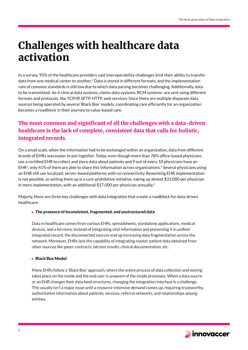### Challenges with healthcare data activation

In a survey, 95% of the healthcare providers said interoperability challenges limit their ability to transfer data from one medical center to another.2 Data is stored in different formats, and the implementation rate of common standards is still low due to which data parsing becomes challenging. Additionally, data to be transmitted- be it clinical data systems, claims data systems, RCM systems- are sent using different formats and protocols, like TCP/IP, SFTP, HTTP, web services. Since there are multiple disparate data sources being operated by several 'Black Box' models, coordinating care efficiently for an organization becomes a roadblock in their journey to value-based care.

### The most common and significant of all the challenges with a data-driven healthcare is the lack of complete, consistent data that calls for holistic, integrated records.

On a small scale, when the information had to be exchanged within an organization, data from different brands of EHRs was easier to put together. Today, even though more than 78% office-based physicians use a certified EHR to collect and store data about patients and 9 out of every 10 physicians have an  $EHR<sup>3</sup>$ , only 41% of them are able to share this information across organizations.<sup>4</sup> Several physicians using an EHR still use localized, server-based platforms with no connectivity. Reworking EHR implementation is not possible, as setting them up is a cost-prohibitive initiative, taking up almost \$33,000 per physician in mere implementation, with an additional  $$17,000$  per physician annually.<sup>5</sup>

Majorly, there are three key challenges with data integration that create a roadblock for data-driven healthcare:

#### ▶ The presence of inconsistent, fragmented, and unstructured data

Data in healthcare comes from various EHRs, spreadsheets, standalone applications, medical devices, and a lot more. Instead of integrating vital information and presenting it in unified integrated record, the disconnected sources end up increasing data fragmentation across the network. Moreover, EHRs lack the capability of integrating master patient data obtained from other sources like payer contracts, lab test results, clinical documentation, etc.

#### ▶ Black Box Model

Many EHRs follow a 'Black Box' approach, where the entire process of data collection and storing takes place on the inside and the end user is unaware of the inside processes. When a data source or an EHR changes their data feed structures, changing the integration interface is a challenge. This usually isn't a major issue until a resource-intensive demand comes up, requiring trustworthy, authoritative information about patients, services, referral networks, and relationships among entities.

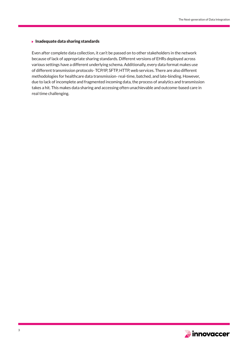#### $\blacktriangleright$  Inadequate data sharing standards

Even after complete data collection, it can't be passed on to other stakeholders in the network because of lack of appropriate sharing standards. Different versions of EHRs deployed across various settings have a different underlying schema. Additionally, every data format makes use of different transmission protocols- TCP/IP, SFTP, HTTP, web services. There are also different methodologies for healthcare data transmission- real-time, batched, and late-binding. However, due to lack of incomplete and fragmented incoming data, the process of analytics and transmission takes a hit. This makes data sharing and accessing often unachievable and outcome-based care in real time challenging.

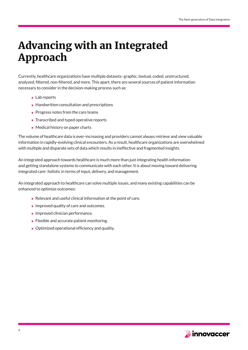### Advancing with an Integrated Approach

Currently, healthcare organizations have multiple datasets- graphic, textual, coded, unstructured, analyzed, filtered, non-filtered, and more. This apart, there are several sources of patient information necessary to consider in the decision-making process such as:

- ▶ Lab reports
- $\blacktriangleright$  Handwritten consultation and prescriptions
- $\triangleright$  Progress notes from the care teams
- ▶ Transcribed and typed operative reports
- ▶ Medical history on paper charts

The volume of healthcare data is ever-increasing and providers cannot always retrieve and view valuable information in rapidly-evolving clinical encounters. As a result, healthcare organizations are overwhelmed with multiple and disparate sets of data which results in ineffective and fragmented insights.

An integrated approach towards healthcare is much more than just integrating health information and getting standalone systems to communicate with each other. It is about moving toward delivering integrated care- holistic in terms of input, delivery, and management.

An integrated approach to healthcare can solve multiple issues, and many existing capabilities can be enhanced to optimize outcomes:

- Relevant and useful clinical information at the point of care.
- Improved quality of care and outcomes.
- $\blacktriangleright$  Improved clinician performance.
- $\blacktriangleright$  Flexible and accurate patient monitoring.
- ▶ Optimized operational efficiency and quality.

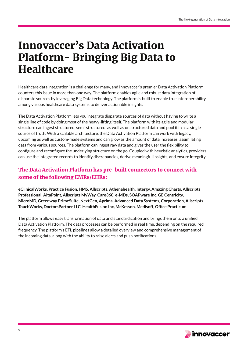### Innovaccer's Data Activation Platform- Bringing Big Data to **Healthcare**

Healthcare data integration is a challenge for many, and Innovaccer's premier Data Activation Platform counters this issue in more than one way. The platform enables agile and robust data integration of disparate sources by leveraging Big Data technology. The platform is built to enable true interoperability among various healthcare data systems to deliver actionable insights.

The Data Activation Platform lets you integrate disparate sources of data without having to write a single line of code by doing most of the heavy-lifting itself. The platform with its agile and modular structure can ingest structured, semi-structured, as well as unstructured data and pool it in as a single source of truth. With a scalable architecture, the Data Activation Platform can work with legacy, upcoming as well as custom-made systems and can grow as the amount of data increases, assimilating data from various sources. The platform can ingest raw data and gives the user the flexibility to configure and reconfigure the underlying structure on the go. Coupled with heuristic analytics, providers can use the integrated records to identify discrepancies, derive meaningful insights, and ensure integrity.

### The Data Activation Platform has pre-built connectors to connect with some of the following EMRs/EHRs:

**eClinicalWorks, Practice Fusion, HMS, Allscripts, Athenahealth, Intergy, Amazing Charts, Allscripts Professional, AltaPoint, Allscripts MyWay, Care360, e-MDs, SOAPware Inc, GE Centricity, MicroMD, Greenway PrimeSuite, NextGen, Aprima, Advanced Data Systems, Corporation, Allscripts TouchWorks, DoctorsPartner LLC, HealthFusion Inc, McKesson, Medisoft, Office Practicum**

The platform allows easy transformation of data and standardization and brings them onto a unified Data Activation Platform. The data processes can be performed in real time, depending on the required frequency. The platform's ETL pipelines allow a detailed overview and comprehensive management of the incoming data, along with the ability to raise alerts and push notifications.

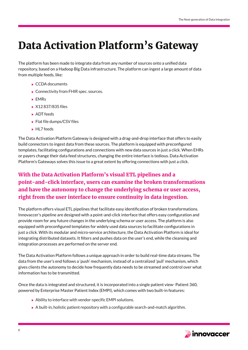# Data Activation Platform's Gateway

The platform has been made to integrate data from any number of sources onto a unified data repository, based on a Hadoop Big Data infrastructure. The platform can ingest a large amount of data from multiple feeds, like:

- CCDA documents
- ▶ Connectivity from FHIR spec. sources.
- **EMRs**
- ▶ X12 837/835 files
- ▶ ADT feeds
- ▶ Flat file dumps/CSV files
- ▶ HL7 feeds

The Data Activation Platform Gateway is designed with a drag-and-drop interface that offers to easily build connectors to ingest data from these sources. The platform is equipped with preconfigured templates, facilitating configurations and connections with new data sources in just a click. When EHRs or payers change their data feed structures, changing the entire interface is tedious. Data Activation Platform's Gateways solves this issue to a great extent by offering connections with just a click.

### With the Data Activation Platform's visual ETL pipelines and a point-and-click interface, users can examine the broken transformations and have the autonomy to change the underlying schema or user access, right from the user interface to ensure continuity in data ingestion.

The platform offers visual ETL pipelines that facilitate easy identification of broken transformations. Innovaccer's pipeline are designed with a point-and-click interface that offers easy configuration and provide room for any future changes in the underlying schema or user access. The platform is also equipped with preconfigured templates for widely used data sources to facilitate configurations in just a click. With its modular and micro-service architecture, the Data Activation Platform is ideal for integrating distributed datasets. It filters and pushes data on the user's end, while the cleansing and integration processes are performed on the server end.

The Data Activation Platform follows a unique approach in order to build real-time data streams. The data from the user's end follows a 'push' mechanism, instead of a centralized 'pull' mechanism, which gives clients the autonomy to decide how frequently data needs to be streamed and control over what information has to be transmitted.

Once the data is integrated and structured, it is incorporated into a single patient view- Patient 360, powered by Enterprise Master Patient Index (EMPI), which comes with two built-in features:

- ▶ Ability to interface with vendor-specific EMPI solutions.
- A built-in, holistic patient repository with a configurable search-and-match algorithm.

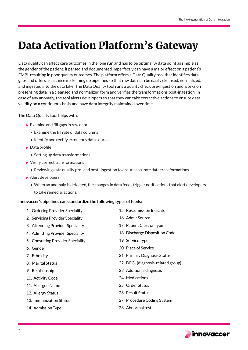## Data Activation Platform's Gateway

Data quality can affect care outcomes in the long run and has to be optimal. A data point as simple as the gender of the patient, if parsed and documented imperfectly can have a major effect on a patient's EMPI, resulting in poor quality outcomes. The platform offers a Data Quality tool that identifies data gaps and offers assistance in cleaning up pipelines so that raw data can be easily cleansed, normalized, and ingested into the data lake. The Data Quality tool runs a quality check pre-ingestion and works on presenting data in a cleansed and normalized form and verifies the transformations post-ingestion. In case of any anomaly, the tool alerts developers so that they can take corrective actions to ensure data validity on a continuous basis and have data integrity maintained over time.

The Data Quality tool helps with:

- $\blacktriangleright$  Examine and fill gaps in raw data
	- Examine the fill rate of data columns
	- Identify and rectify erroneous data sources
- ▶ Data profile
	- Setting up data transformations
- ▶ Verify correct transformations
	- Reviewing data quality pre- and post- ingestion to ensure accurate data transformations
- ▶ Alert developers
	- When an anomaly is detected, the changes in data feeds trigger notifications that alert developers to take remedial actions.

#### **Innovaccer's pipelines can standardize the following types of feeds:**

- 1. Ordering Provider Speciality
- 2. Servicing Provider Speciality
- 3. Attending Provider Speciality
- 4. Admitting Provider Speciality
- 5. Consulting Provider Speciality
- 6. Gender
- 7. Ethnicity
- 8. Marital Status
- 9. Relationship
- 10. Activity Code
- 11. Allergen Name
- 12. Allergy Status
- 13. Immunization Status
- 14. Admission Type
- 15. Re-admission Indicator
- 16. Admit Source
- 17. Patient Class or Type
- 18. Discharge Disposition Code
- 19. Service Type
- 20. Place of Service
- 21. Primary Diagnosis Status
- 22. DRG- (diagnosis-related group)
- 23. Additional diagnosis
- 24. Medications
- 25. Order Status
- 26. Result Status
- 27. Procedure Coding System
- 28. Abnormal tests

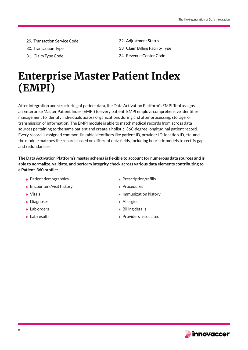- 29. Transaction Service Code
- 30. Transaction Type
- 31. Claim Type Code
- 32. Adjustment Status
- 33. Claim Billing Facility Type
- 34. Revenue Center Code

### Enterprise Master Patient Index (EMPI)

After integration and structuring of patient data, the Data Activation Platform's EMPI Tool assigns an Enterprise Master Patient Index (EMPI) to every patient. EMPI employs comprehensive identifier management to identify individuals across organizations during and after processing, storage, or transmission of information. The EMPI module is able to match medical records from across data sources pertaining to the same patient and create a holistic, 360-degree longitudinal patient record. Every record is assigned common, linkable identifiers like patient ID, provider ID, location ID, etc. and the module matches the records based on different data fields, including heuristic models to rectify gaps and redundancies.

**The Data Activation Platform's master schema is flexible to account for numerous data sources and is able to normalize, validate, and perform integrity check across various data elements contributing to a Patient-360 profile:**

- $\blacktriangleright$  Patient demographics
- ▶ Encounters/visit history
- Vitals
- **Diagnoses**
- Lab orders
- **Lab results**
- $\blacktriangleright$  Prescription/refills
- Procedures
- $\blacktriangleright$  Immunization history
- **Allergies**
- $\triangleright$  Billing details
- $\blacktriangleright$  Providers associated

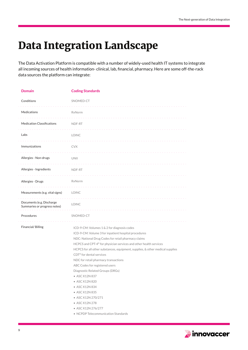# Data Integration Landscape

The Data Activation Platform is compatible with a number of widely-used health IT systems to integrate all incoming sources of health information- clinical, lab, financial, pharmacy. Here are some off-the-rack data sources the platform can integrate:

| <b>Domain</b>                                             | <b>Coding Standards</b>                                                                                                                                                                                                                                                                                                                                                                                                                                                                                                                                                                                                                                         |
|-----------------------------------------------------------|-----------------------------------------------------------------------------------------------------------------------------------------------------------------------------------------------------------------------------------------------------------------------------------------------------------------------------------------------------------------------------------------------------------------------------------------------------------------------------------------------------------------------------------------------------------------------------------------------------------------------------------------------------------------|
| Conditions                                                | SNOMED-CT                                                                                                                                                                                                                                                                                                                                                                                                                                                                                                                                                                                                                                                       |
| Medications                                               | RxNorm                                                                                                                                                                                                                                                                                                                                                                                                                                                                                                                                                                                                                                                          |
| <b>Medication Classifications</b>                         | NDF-RT                                                                                                                                                                                                                                                                                                                                                                                                                                                                                                                                                                                                                                                          |
| Labs                                                      | <b>LOINC</b>                                                                                                                                                                                                                                                                                                                                                                                                                                                                                                                                                                                                                                                    |
| Immunizations                                             | <b>CVX</b>                                                                                                                                                                                                                                                                                                                                                                                                                                                                                                                                                                                                                                                      |
| Allergies - Non-drugs                                     | UNII                                                                                                                                                                                                                                                                                                                                                                                                                                                                                                                                                                                                                                                            |
| Allergies - Ingredients                                   | NDF-RT                                                                                                                                                                                                                                                                                                                                                                                                                                                                                                                                                                                                                                                          |
|                                                           |                                                                                                                                                                                                                                                                                                                                                                                                                                                                                                                                                                                                                                                                 |
| Allergies - Drugs                                         | RxNorm                                                                                                                                                                                                                                                                                                                                                                                                                                                                                                                                                                                                                                                          |
| Measurements (e.g. vital signs)                           | <b>LOINC</b>                                                                                                                                                                                                                                                                                                                                                                                                                                                                                                                                                                                                                                                    |
| Documents (e.g. Discharge<br>Summaries or progress notes) | <b>LOINC</b>                                                                                                                                                                                                                                                                                                                                                                                                                                                                                                                                                                                                                                                    |
| Procedures                                                | SNOMED-CT                                                                                                                                                                                                                                                                                                                                                                                                                                                                                                                                                                                                                                                       |
| Financial/Billing                                         | ICD-9-CM: Volumes 1 & 2 for diagnosis codes<br>ICD-9-CM: Volume 3 for inpatient hospital procedures<br>NDC: National Drug Codes for retail pharmacy claims<br>HCPCS and CPT-4 <sup>®</sup> for physician services and other health services<br>HCPCS for all other substances, equipment, supplies, & other medical supplies<br>CDT <sup>®</sup> for dental services<br>NDC for retail pharmacy transactions<br>ABC Codes for registered users<br>Diagnostic Related Groups (DRGs)<br>• ASC X12N 837<br>• ASC X12N 820<br>• ASC X12N 834<br>• ASC X12N 835<br>• ASC X12N 270/271<br>• ASC X12N 278<br>• ASC X12N 276/277<br>• NCPDP Telecommunication Standards |

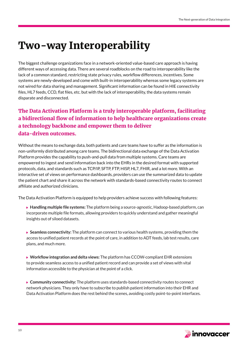### Two-way Interoperability

The biggest challenge organizations face in a network-oriented value-based care approach is having different ways of accessing data. There are several roadblocks on the road to interoperability like the lack of a common standard, restricting state privacy rules, workflow differences, incentives. Some systems are newly-developed and come with built-in interoperability whereas some legacy systems are not wired for data sharing and management. Significant information can be found in HIE connectivity files, HL7 feeds, CCD, flat files, etc. but with the lack of interoperability, the data systems remain disparate and disconnected.

### The Data Activation Platform is a truly interoperable platform, facilitating a bidirectional flow of information to help healthcare organizations create a technology backbone and empower them to deliver data-driven outcomes.

Without the means to exchange data, both patients and care teams have to suffer as the information is non-uniformly distributed among care teams. The bidirectional data exchange of the Data Activation Platform provides the capability to push-and-pull data from multiple systems. Care teams are empowered to ingest and send information back into the EHRs in the desired format with supported protocols, data, and standards such as TCP/IP, SFTP, FTP, HISP, HL7, FHIR, and a lot more. With an interactive set of views on performance dashboards, providers can use the summarized data to update the patient chart and share it across the network with standards-based connectivity routes to connect affiliate and authorized clinicians.

The Data Activation Platform is equipped to help providers achieve success with following features:

- **Handling multiple file systems:** The platform being a source-agnostic, Hadoop-based platform, can incorporate multiple file formats, allowing providers to quickly understand and gather meaningful insights out of siloed datasets.
- **Seamless connectivity:** The platform can connect to various health systems, providing them the access to unified patient records at the point of care, in addition to ADT feeds, lab test results, care plans, and much more.
- **Workflow integration and delta views:** The platform has CCOW-compliant EHR extensions to provide seamless access to a unified patient record and can provide a set of views with vital information accessible to the physician at the point of a click.
- **Community connectivity:** The platform uses standards-based connectivity routes to connect network physicians. They only have to subscribe to publish patient information into their EHR and Data Activation Platform does the rest behind the scenes, avoiding costly point-to-point interfaces.

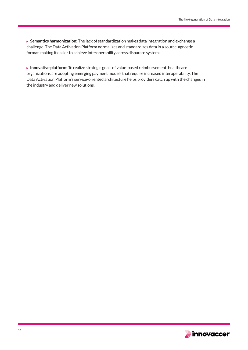**Semantics harmonization:** The lack of standardization makes data integration and exchange a challenge. The Data Activation Platform normalizes and standardizes data in a source-agnostic format, making it easier to achieve interoperability across disparate systems.

**Innovative platform:** To realize strategic goals of value-based reimbursement, healthcare organizations are adopting emerging payment models that require increased interoperability. The Data Activation Platform's service-oriented architecture helps providers catch up with the changes in the industry and deliver new solutions.

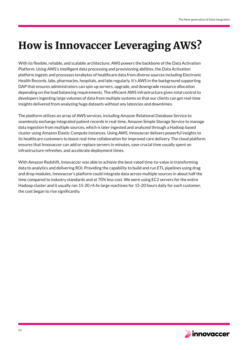# How is Innovaccer Leveraging AWS?

With its flexible, reliable, and scalable architecture; AWS powers the backbone of the Data Activation Platform. Using AWS's intelligent data processing and provisioning abilities, the Data Activation platform ingests and processes terabytes of healthcare data from diverse sources including Electronic Health Records, labs, pharmacies, hospitals, and labs regularly. It's AWS in the background supporting DAP that ensures administrators can spin up servers, upgrade, and downgrade resource allocation depending on the load balancing requirements. The efficient AWS infrastructure gives total control to developers ingesting large volumes of data from multiple systems so that our clients can get real-time insights delivered from analyzing huge datasets without any latencies and downtimes.

The platform utilizes an array of AWS services, including Amazon Relational Database Service to seamlessly exchange integrated patient records in real-time, Amazon Simple Storage Service to manage data ingestion from multiple sources, which is later ingested and analyzed through a Hadoop based cluster using Amazon Elastic Compute instances. Using AWS, Innovaccer delivers powerful insights to its healthcare customers to boost real-time collaboration for improved care delivery. The cloud platform ensures that Innovaccer can add or replace servers in minutes, save crucial time usually spent on infrastructure refreshes, and accelerate deployment times.

With Amazon Redshift, Innovaccer was able to achieve the best-rated time-to-value in transforming data to analytics and delivering ROI. Providing the capability to build and run ETL pipelines using drag and drop modules, Innovaccer's platform could integrate data across multiple sources in about half the time compared to industry standards and at 70% less cost. We were using EC2 servers for the entire Hadoop cluster and it usually ran 15-20 r4.4x large machines for 15-20 hours daily for each customer, the cost began to rise significantly.

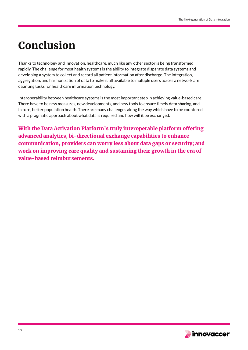## Conclusion

Thanks to technology and innovation, healthcare, much like any other sector is being transformed rapidly. The challenge for most health systems is the ability to integrate disparate data systems and developing a system to collect and record all patient information after discharge. The integration, aggregation, and harmonization of data to make it all available to multiple users across a network are daunting tasks for healthcare information technology.

Interoperability between healthcare systems is the most important step in achieving value-based care. There have to be new measures, new developments, and new tools to ensure timely data sharing, and in turn, better population health. There are many challenges along the way which have to be countered with a pragmatic approach about what data is required and how will it be exchanged.

With the Data Activation Platform's truly interoperable platform offering advanced analytics, bi-directional exchange capabilities to enhance communication, providers can worry less about data gaps or security; and work on improving care quality and sustaining their growth in the era of value-based reimbursements.

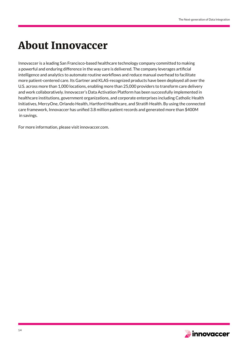### About Innovaccer

Innovaccer is a leading San Francisco-based healthcare technology company committed to making a powerful and enduring difference in the way care is delivered. The company leverages artificial intelligence and analytics to automate routine workflows and reduce manual overhead to facilitate more patient-centered care. Its Gartner and KLAS-recognized products have been deployed all over the U.S. across more than 1,000 locations, enabling more than 25,000 providers to transform care delivery and work collaboratively. Innovaccer's Data Activation Platform has been successfully implemented in healthcare institutions, government organizations, and corporate enterprises including Catholic Health Initiatives, MercyOne, Orlando Health, Hartford Healthcare, and Stratifi Health. By using the connected care framework, Innovaccer has unified 3.8 million patient records and generated more than \$400M in savings.

For more information, please visit innovaccer.com.

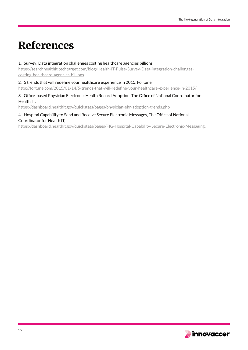### References

#### 1. Survey: Data integration challenges costing healthcare agencies billions,

https://searchhealthit.techtarget.com/blog/Health-IT-Pulse/Survey-Data-integration-challengescosting-healthcare-agencies-billions

2. 5 trends that will redefine your healthcare experience in 2015, Fortune

http://fortune.com/2015/01/14/5-trends-that-will-redefine-your-healthcare-experience-in-2015/

#### 3. Office-based Physician Electronic Health Record Adoption, The Office of National Coordinator for Health IT,

https://dashboard.healthit.gov/quickstats/pages/physician-ehr-adoption-trends.php

#### 4. Hospital Capability to Send and Receive Secure Electronic Messages, The Office of National Coordinator for Health IT,

https://dashboard.healthit.gov/quickstats/pages/FIG-Hospital-Capability-Secure-Electronic-Messaging.